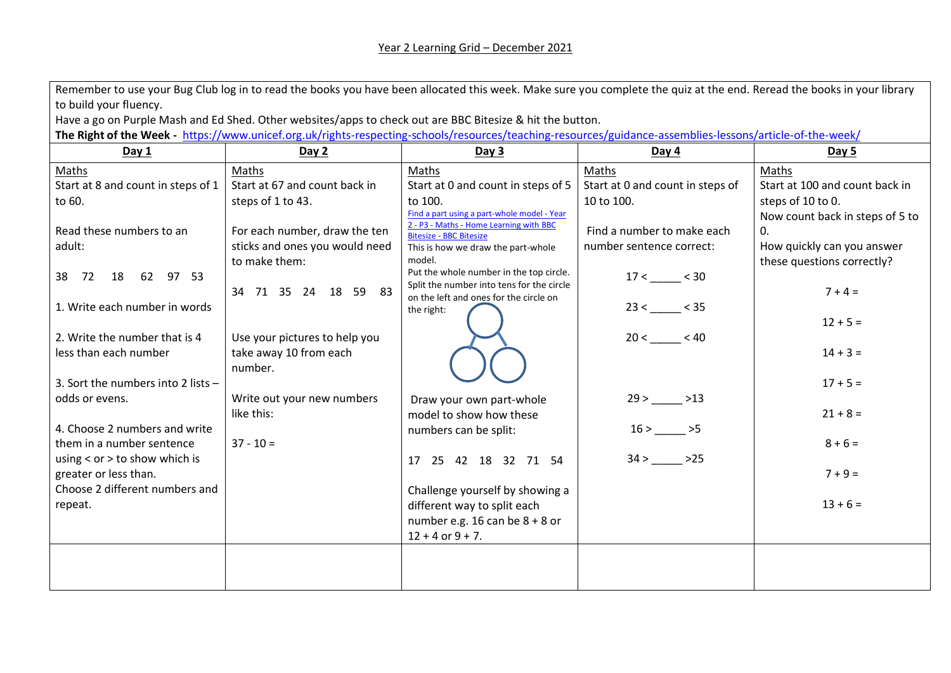| Remember to use your Bug Club log in to read the books you have been allocated this week. Make sure you complete the quiz at the end. Reread the books in your library |                                |                                                                                        |                                        |                                 |  |  |  |
|------------------------------------------------------------------------------------------------------------------------------------------------------------------------|--------------------------------|----------------------------------------------------------------------------------------|----------------------------------------|---------------------------------|--|--|--|
| to build your fluency.                                                                                                                                                 |                                |                                                                                        |                                        |                                 |  |  |  |
| Have a go on Purple Mash and Ed Shed. Other websites/apps to check out are BBC Bitesize & hit the button.                                                              |                                |                                                                                        |                                        |                                 |  |  |  |
| The Right of the Week - https://www.unicef.org.uk/rights-respecting-schools/resources/teaching-resources/guidance-assemblies-lessons/article-of-the-week/              |                                |                                                                                        |                                        |                                 |  |  |  |
| Day 1                                                                                                                                                                  | Day 2                          | Day 3                                                                                  | Day 4                                  | Day 5                           |  |  |  |
| Maths                                                                                                                                                                  | Maths                          | Maths                                                                                  | Maths                                  | Maths                           |  |  |  |
| Start at 8 and count in steps of 1                                                                                                                                     | Start at 67 and count back in  | Start at 0 and count in steps of 5                                                     | Start at 0 and count in steps of       | Start at 100 and count back in  |  |  |  |
| to 60.                                                                                                                                                                 | steps of 1 to 43.              | to 100.                                                                                | 10 to 100.                             | steps of 10 to 0.               |  |  |  |
|                                                                                                                                                                        |                                | Find a part using a part-whole model - Year<br>2 - P3 - Maths - Home Learning with BBC |                                        | Now count back in steps of 5 to |  |  |  |
| Read these numbers to an                                                                                                                                               | For each number, draw the ten  | <b>Bitesize - BBC Bitesize</b>                                                         | Find a number to make each             | 0.                              |  |  |  |
| adult:                                                                                                                                                                 | sticks and ones you would need | This is how we draw the part-whole                                                     | number sentence correct:               | How quickly can you answer      |  |  |  |
|                                                                                                                                                                        | to make them:                  | model.                                                                                 |                                        | these questions correctly?      |  |  |  |
| 18 62 97 53<br>38 72                                                                                                                                                   |                                | Put the whole number in the top circle.<br>Split the number into tens for the circle   | $17 < \_\_\_\_\_\_\_\_\_\_\_\_\_\_ 30$ |                                 |  |  |  |
|                                                                                                                                                                        | 34 71 35 24 18 59 83           | on the left and ones for the circle on                                                 |                                        | $7 + 4 =$                       |  |  |  |
| 1. Write each number in words                                                                                                                                          |                                | the right:                                                                             |                                        |                                 |  |  |  |
|                                                                                                                                                                        |                                |                                                                                        |                                        | $12 + 5 =$                      |  |  |  |
| 2. Write the number that is 4                                                                                                                                          | Use your pictures to help you  |                                                                                        | 20 < 40                                |                                 |  |  |  |
| less than each number                                                                                                                                                  | take away 10 from each         |                                                                                        |                                        | $14 + 3 =$                      |  |  |  |
|                                                                                                                                                                        | number.                        |                                                                                        |                                        |                                 |  |  |  |
| 3. Sort the numbers into 2 lists -                                                                                                                                     |                                |                                                                                        |                                        | $17 + 5 =$                      |  |  |  |
| odds or evens.                                                                                                                                                         | Write out your new numbers     | Draw your own part-whole                                                               | $29 >$ 29 $ >13$                       |                                 |  |  |  |
|                                                                                                                                                                        | like this:                     | model to show how these                                                                |                                        | $21 + 8 =$                      |  |  |  |
| 4. Choose 2 numbers and write                                                                                                                                          |                                | numbers can be split:                                                                  | $16 > \_\_\_\_\_\$ >5                  |                                 |  |  |  |
| them in a number sentence                                                                                                                                              | $37 - 10 =$                    |                                                                                        |                                        | $8 + 6 =$                       |  |  |  |
| using $<$ or $>$ to show which is                                                                                                                                      |                                | 17 25 42 18 32 71 54                                                                   | $34 > \_\_\_\_\_\_$ >25                |                                 |  |  |  |
| greater or less than.                                                                                                                                                  |                                |                                                                                        |                                        | $7 + 9 =$                       |  |  |  |
| Choose 2 different numbers and                                                                                                                                         |                                | Challenge yourself by showing a                                                        |                                        |                                 |  |  |  |
| repeat.                                                                                                                                                                |                                | different way to split each                                                            |                                        | $13 + 6 =$                      |  |  |  |
|                                                                                                                                                                        |                                | number e.g. 16 can be $8 + 8$ or                                                       |                                        |                                 |  |  |  |
|                                                                                                                                                                        |                                | $12 + 4$ or $9 + 7$ .                                                                  |                                        |                                 |  |  |  |
|                                                                                                                                                                        |                                |                                                                                        |                                        |                                 |  |  |  |
|                                                                                                                                                                        |                                |                                                                                        |                                        |                                 |  |  |  |
|                                                                                                                                                                        |                                |                                                                                        |                                        |                                 |  |  |  |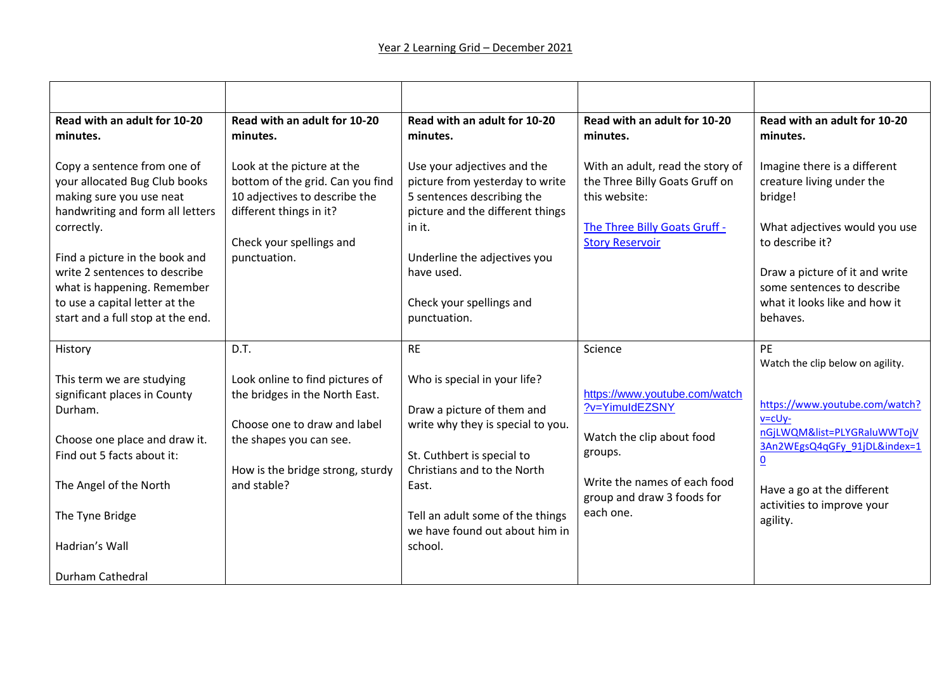| Read with an adult for 10-20<br>Read with an adult for 10-20<br>Read with an adult for 10-20<br>Read with an adult for 10-20<br>Read with an adult for 10-20<br>minutes.<br>minutes.<br>minutes.<br>minutes.<br>minutes.<br>Copy a sentence from one of<br>Look at the picture at the<br>Use your adjectives and the<br>With an adult, read the story of<br>Imagine there is a different<br>the Three Billy Goats Gruff on<br>your allocated Bug Club books<br>bottom of the grid. Can you find<br>picture from yesterday to write<br>creature living under the<br>10 adjectives to describe the<br>5 sentences describing the<br>this website:<br>making sure you use neat<br>bridge!<br>handwriting and form all letters<br>different things in it?<br>picture and the different things<br>The Three Billy Goats Gruff -<br>What adjectives would you use<br>correctly.<br>in it.<br>Check your spellings and<br><b>Story Reservoir</b><br>to describe it?<br>Find a picture in the book and<br>Underline the adjectives you<br>punctuation.<br>write 2 sentences to describe<br>have used.<br>Draw a picture of it and write<br>some sentences to describe<br>what is happening. Remember<br>to use a capital letter at the<br>Check your spellings and<br>what it looks like and how it<br>start and a full stop at the end.<br>punctuation.<br>behaves.<br>D.T.<br>PE<br><b>RE</b><br>Science<br>History<br>Watch the clip below on agility.<br>This term we are studying<br>Look online to find pictures of<br>Who is special in your life?<br>https://www.youtube.com/watch<br>significant places in County<br>the bridges in the North East.<br>https://www.youtube.com/watch?<br>?v=YimuldEZSNY<br>Durham.<br>Draw a picture of them and<br>$v = c \cup y -$<br>Choose one to draw and label<br>write why they is special to you.<br>nGjLWQM&list=PLYGRaluWWTojV<br>Watch the clip about food<br>Choose one place and draw it.<br>the shapes you can see.<br>3An2WEgsQ4qGFy 91jDL&index=1<br>groups.<br>Find out 5 facts about it:<br>St. Cuthbert is special to<br>$\overline{\mathbf{0}}$<br>Christians and to the North<br>How is the bridge strong, sturdy<br>Write the names of each food<br>The Angel of the North<br>and stable?<br>East.<br>Have a go at the different<br>group and draw 3 foods for<br>activities to improve your<br>each one.<br>Tell an adult some of the things<br>The Tyne Bridge<br>agility.<br>we have found out about him in<br>Hadrian's Wall<br>school. |                         |  |  |
|----------------------------------------------------------------------------------------------------------------------------------------------------------------------------------------------------------------------------------------------------------------------------------------------------------------------------------------------------------------------------------------------------------------------------------------------------------------------------------------------------------------------------------------------------------------------------------------------------------------------------------------------------------------------------------------------------------------------------------------------------------------------------------------------------------------------------------------------------------------------------------------------------------------------------------------------------------------------------------------------------------------------------------------------------------------------------------------------------------------------------------------------------------------------------------------------------------------------------------------------------------------------------------------------------------------------------------------------------------------------------------------------------------------------------------------------------------------------------------------------------------------------------------------------------------------------------------------------------------------------------------------------------------------------------------------------------------------------------------------------------------------------------------------------------------------------------------------------------------------------------------------------------------------------------------------------------------------------------------------------------------------------------------------------------------------------------------------------------------------------------------------------------------------------------------------------------------------------------------------------------------------------------------------------------------------------------------------------------------------------------------------------------------------------------------------------------------------------------------------------------|-------------------------|--|--|
|                                                                                                                                                                                                                                                                                                                                                                                                                                                                                                                                                                                                                                                                                                                                                                                                                                                                                                                                                                                                                                                                                                                                                                                                                                                                                                                                                                                                                                                                                                                                                                                                                                                                                                                                                                                                                                                                                                                                                                                                                                                                                                                                                                                                                                                                                                                                                                                                                                                                                                    |                         |  |  |
|                                                                                                                                                                                                                                                                                                                                                                                                                                                                                                                                                                                                                                                                                                                                                                                                                                                                                                                                                                                                                                                                                                                                                                                                                                                                                                                                                                                                                                                                                                                                                                                                                                                                                                                                                                                                                                                                                                                                                                                                                                                                                                                                                                                                                                                                                                                                                                                                                                                                                                    |                         |  |  |
|                                                                                                                                                                                                                                                                                                                                                                                                                                                                                                                                                                                                                                                                                                                                                                                                                                                                                                                                                                                                                                                                                                                                                                                                                                                                                                                                                                                                                                                                                                                                                                                                                                                                                                                                                                                                                                                                                                                                                                                                                                                                                                                                                                                                                                                                                                                                                                                                                                                                                                    |                         |  |  |
|                                                                                                                                                                                                                                                                                                                                                                                                                                                                                                                                                                                                                                                                                                                                                                                                                                                                                                                                                                                                                                                                                                                                                                                                                                                                                                                                                                                                                                                                                                                                                                                                                                                                                                                                                                                                                                                                                                                                                                                                                                                                                                                                                                                                                                                                                                                                                                                                                                                                                                    |                         |  |  |
|                                                                                                                                                                                                                                                                                                                                                                                                                                                                                                                                                                                                                                                                                                                                                                                                                                                                                                                                                                                                                                                                                                                                                                                                                                                                                                                                                                                                                                                                                                                                                                                                                                                                                                                                                                                                                                                                                                                                                                                                                                                                                                                                                                                                                                                                                                                                                                                                                                                                                                    |                         |  |  |
|                                                                                                                                                                                                                                                                                                                                                                                                                                                                                                                                                                                                                                                                                                                                                                                                                                                                                                                                                                                                                                                                                                                                                                                                                                                                                                                                                                                                                                                                                                                                                                                                                                                                                                                                                                                                                                                                                                                                                                                                                                                                                                                                                                                                                                                                                                                                                                                                                                                                                                    | <b>Durham Cathedral</b> |  |  |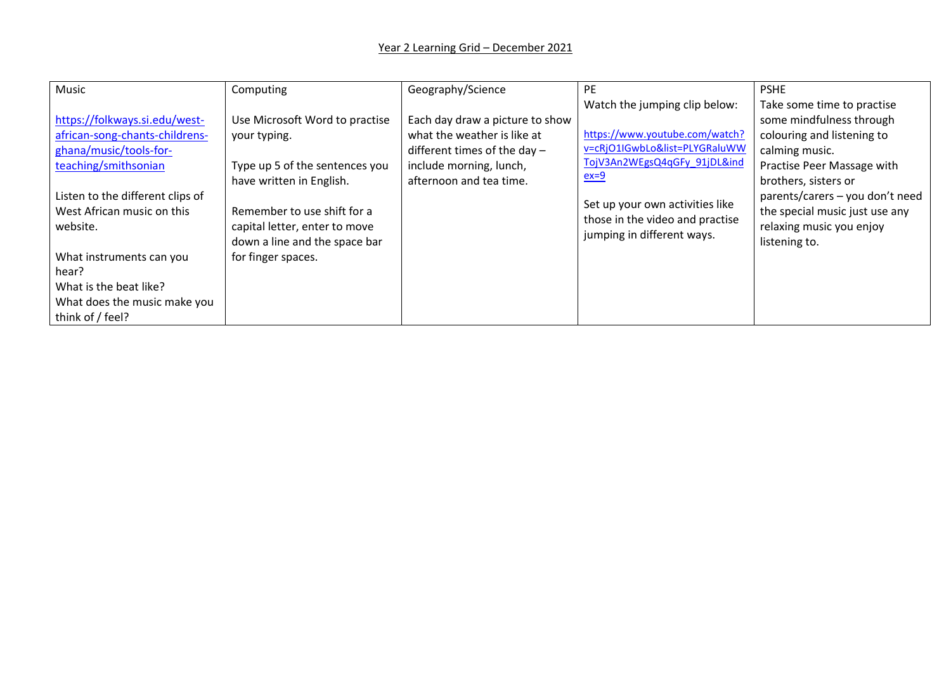| Music                            | Computing                      | Geography/Science               | <b>PE</b>                       | <b>PSHE</b>                     |
|----------------------------------|--------------------------------|---------------------------------|---------------------------------|---------------------------------|
|                                  |                                |                                 | Watch the jumping clip below:   | Take some time to practise      |
| https://folkways.si.edu/west-    | Use Microsoft Word to practise | Each day draw a picture to show |                                 | some mindfulness through        |
| african-song-chants-childrens-   | your typing.                   | what the weather is like at     | https://www.youtube.com/watch?  | colouring and listening to      |
| ghana/music/tools-for-           |                                | different times of the day $-$  | v=cRjO1IGwbLo&list=PLYGRaluWW   | calming music.                  |
| teaching/smithsonian             | Type up 5 of the sentences you | include morning, lunch,         | TojV3An2WEgsQ4qGFy 91jDL&ind    | Practise Peer Massage with      |
|                                  | have written in English.       | afternoon and tea time.         | $ex=9$                          | brothers, sisters or            |
| Listen to the different clips of |                                |                                 | Set up your own activities like | parents/carers - you don't need |
| West African music on this       | Remember to use shift for a    |                                 | those in the video and practise | the special music just use any  |
| website.                         | capital letter, enter to move  |                                 | jumping in different ways.      | relaxing music you enjoy        |
|                                  | down a line and the space bar  |                                 |                                 | listening to.                   |
| What instruments can you         | for finger spaces.             |                                 |                                 |                                 |
| hear?                            |                                |                                 |                                 |                                 |
| What is the beat like?           |                                |                                 |                                 |                                 |
| What does the music make you     |                                |                                 |                                 |                                 |
| think of / feel?                 |                                |                                 |                                 |                                 |